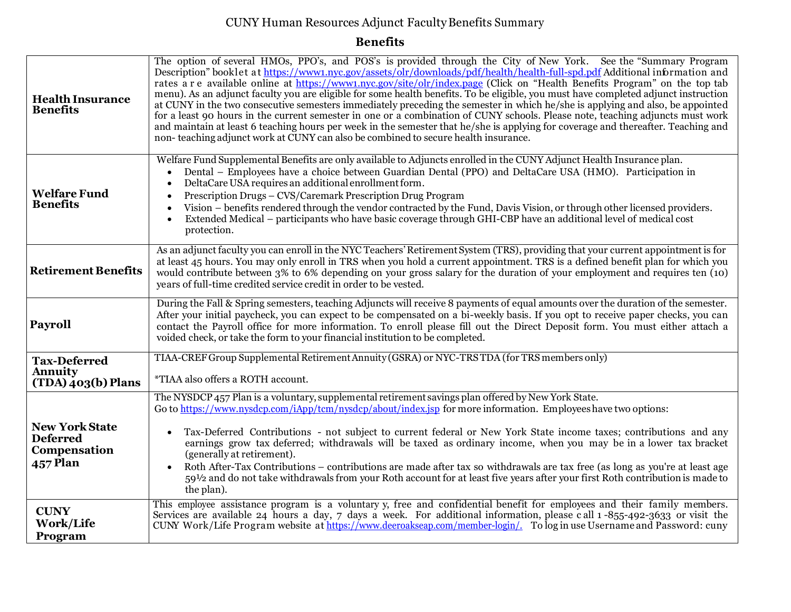## CUNY Human Resources Adjunct FacultyBenefits Summary

## **Benefits**

| <b>Health Insurance</b><br><b>Benefits</b>                                  | The option of several HMOs, PPO's, and POS's is provided through the City of New York. See the "Summary Program<br>Description" booklet at https://www1.nyc.gov/assets/olr/downloads/pdf/health/health-full-spd.pdf Additional information and<br>rates a r e available online at https://www1.nyc.gov/site/olr/index.page (Click on "Health Benefits Program" on the top tab<br>menu). As an adjunct faculty you are eligible for some health benefits. To be eligible, you must have completed adjunct instruction<br>at CUNY in the two consecutive semesters immediately preceding the semester in which he/she is applying and also, be appointed<br>for a least 90 hours in the current semester in one or a combination of CUNY schools. Please note, teaching adjuncts must work<br>and maintain at least 6 teaching hours per week in the semester that he/she is applying for coverage and thereafter. Teaching and<br>non-teaching adjunct work at CUNY can also be combined to secure health insurance. |
|-----------------------------------------------------------------------------|---------------------------------------------------------------------------------------------------------------------------------------------------------------------------------------------------------------------------------------------------------------------------------------------------------------------------------------------------------------------------------------------------------------------------------------------------------------------------------------------------------------------------------------------------------------------------------------------------------------------------------------------------------------------------------------------------------------------------------------------------------------------------------------------------------------------------------------------------------------------------------------------------------------------------------------------------------------------------------------------------------------------|
| <b>Welfare Fund</b><br><b>Benefits</b>                                      | Welfare Fund Supplemental Benefits are only available to Adjuncts enrolled in the CUNY Adjunct Health Insurance plan.<br>Dental – Employees have a choice between Guardian Dental (PPO) and DeltaCare USA (HMO). Participation in<br>DeltaCare USA requires an additional enrollment form.<br>Prescription Drugs - CVS/Caremark Prescription Drug Program<br>Vision – benefits rendered through the vendor contracted by the Fund, Davis Vision, or through other licensed providers.<br>Extended Medical – participants who have basic coverage through GHI-CBP have an additional level of medical cost<br>protection.                                                                                                                                                                                                                                                                                                                                                                                            |
| <b>Retirement Benefits</b>                                                  | As an adjunct faculty you can enroll in the NYC Teachers' Retirement System (TRS), providing that your current appointment is for<br>at least 45 hours. You may only enroll in TRS when you hold a current appointment. TRS is a defined benefit plan for which you<br>would contribute between 3% to 6% depending on your gross salary for the duration of your employment and requires ten (10)<br>years of full-time credited service credit in order to be vested.                                                                                                                                                                                                                                                                                                                                                                                                                                                                                                                                              |
| Payroll                                                                     | During the Fall & Spring semesters, teaching Adjuncts will receive 8 payments of equal amounts over the duration of the semester.<br>After your initial paycheck, you can expect to be compensated on a bi-weekly basis. If you opt to receive paper checks, you can<br>contact the Payroll office for more information. To enroll please fill out the Direct Deposit form. You must either attach a<br>voided check, or take the form to your financial institution to be completed.                                                                                                                                                                                                                                                                                                                                                                                                                                                                                                                               |
| <b>Tax-Deferred</b><br><b>Annuity</b><br>$(TDA)$ 403(b) Plans               | TIAA-CREF Group Supplemental Retirement Annuity (GSRA) or NYC-TRS TDA (for TRS members only)<br>*TIAA also offers a ROTH account.                                                                                                                                                                                                                                                                                                                                                                                                                                                                                                                                                                                                                                                                                                                                                                                                                                                                                   |
| <b>New York State</b><br><b>Deferred</b><br>Compensation<br><b>457 Plan</b> | The NYSDCP 457 Plan is a voluntary, supplemental retirement savings plan offered by New York State.<br>Go to https://www.nysdcp.com/iApp/tcm/nysdcp/about/index.jsp for more information. Employees have two options:<br>Tax-Deferred Contributions - not subject to current federal or New York State income taxes; contributions and any<br>earnings grow tax deferred; withdrawals will be taxed as ordinary income, when you may be in a lower tax bracket<br>(generally at retirement).<br>Roth After-Tax Contributions – contributions are made after tax so withdrawals are tax free (as long as you're at least age<br>591/2 and do not take withdrawals from your Roth account for at least five years after your first Roth contribution is made to<br>the plan).                                                                                                                                                                                                                                         |
| <b>CUNY</b><br>Work/Life<br>Program                                         | This employee assistance program is a voluntary y, free and confidential benefit for employees and their family members.<br>Services are available 24 hours a day, 7 days a week. For additional information, please call 1-855-492-3633 or visit the<br>CUNY Work/Life Program website at https://www.deeroakseap.com/member-login/. To log in use Username and Password: cuny                                                                                                                                                                                                                                                                                                                                                                                                                                                                                                                                                                                                                                     |